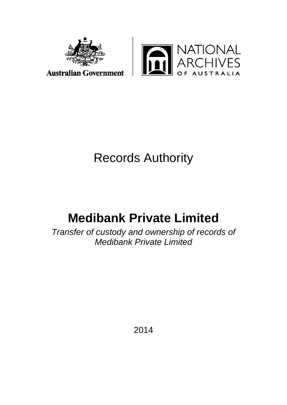



# Records Authority

# **Medibank Private Limited**

*Transfer of custody and ownership of records of Medibank Private Limited*

2014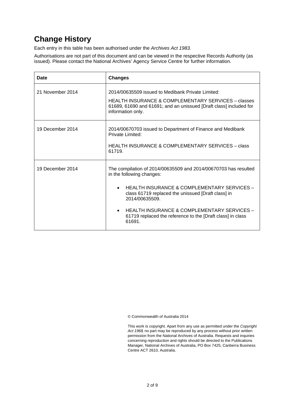# **Change History**

Each entry in this table has been authorised under the *Archives Act 1983*.

Authorisations are not part of this document and can be viewed in the respective Records Authority (as issued). Please contact the National Archives' Agency Service Centre for further information.

| Date             | <b>Changes</b>                                                                                                                                                                                                                                                                                                                                                      |
|------------------|---------------------------------------------------------------------------------------------------------------------------------------------------------------------------------------------------------------------------------------------------------------------------------------------------------------------------------------------------------------------|
| 21 November 2014 | 2014/00635509 issued to Medibank Private Limited:<br>HEALTH INSURANCE & COMPLEMENTARY SERVICES – classes<br>61689, 61690 and 61691; and an unissued [Draft class] included for<br>information only.                                                                                                                                                                 |
| 19 December 2014 | 2014/00670703 issued to Department of Finance and Medibank<br>Private Limited:<br>HEALTH INSURANCE & COMPLEMENTARY SERVICES - class<br>61719.                                                                                                                                                                                                                       |
| 19 December 2014 | The compilation of 2014/00635509 and 2014/00670703 has resulted<br>in the following changes:<br>HEALTH INSURANCE & COMPLEMENTARY SERVICES -<br>$\bullet$<br>class 61719 replaced the unissued [Draft class] in<br>2014/00635509<br>HEALTH INSURANCE & COMPLEMENTARY SERVICES -<br>$\bullet$<br>61719 replaced the reference to the [Draft class] in class<br>61691. |

© Commonwealth of Australia 2014

This work is copyright. Apart from any use as permitted under the *Copyright Act 1968,* no part may be reproduced by any process without prior written permission from the National Archives of Australia. Requests and inquiries concerning reproduction and rights should be directed to the Publications Manager, National Archives of Australia, PO Box 7425, Canberra Business Centre ACT 2610, Australia.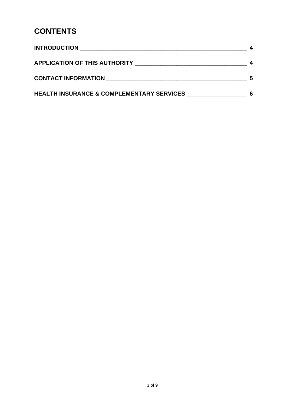# **CONTENTS**

| <b>INTRODUCTION</b>                                  |  |
|------------------------------------------------------|--|
|                                                      |  |
| <b>CONTACT INFORMATION</b>                           |  |
| <b>HEALTH INSURANCE &amp; COMPLEMENTARY SERVICES</b> |  |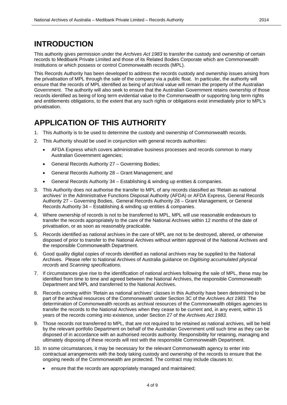#### **INTRODUCTION**

This authority gives permission under the *Archives Act 1983* to transfer the custody and ownership of certain records to Medibank Private Limited and those of its Related Bodies Corporate which are Commonwealth Institutions or which possess or control Commonwealth records (MPL).

This Records Authority has been developed to address the records custody and ownership issues arising from the privatisation of MPL through the sale of the company via a public float. In particular, the authority will ensure that the records of MPL identified as being of archival value will remain the property of the Australian Government. The authority will also seek to ensure that the Australian Government retains ownership of those records identified as being of long term evidential value to the Commonwealth or supporting long term rights and entitlements obligations, to the extent that any such rights or obligations exist immediately prior to MPL's privatisation.

#### **APPLICATION OF THIS AUTHORITY**

- 1. This Authority is to be used to determine the custody and ownership of Commonwealth records.
- 2. This Authority should be used in conjunction with general records authorities:
	- AFDA Express which covers administrative business processes and records common to many Australian Government agencies;
	- General Records Authority 27 Governing Bodies;
	- General Records Authority 28 Grant Management; and
	- General Records Authority 34 Establishing & winding up entities & companies.
- 3. This Authority does not authorise the transfer to MPL of any records classified as 'Retain as national archives' in the Administrative Functions Disposal Authority (AFDA) or AFDA Express, General Records Authority 27 – Governing Bodies, General Records Authority 28 – Grant Management, or General Records Authority 34 – Establishing & winding up entities & companies.
- 4. Where ownership of records is not to be transferred to MPL, MPL will use reasonable endeavours to transfer the records appropriately to the care of the National Archives within 12 months of the date of privatisation, or as soon as reasonably practicable.
- 5. Records identified as national archives in the care of MPL are not to be destroyed, altered, or otherwise disposed of prior to transfer to the National Archives without written approval of the National Archives and the responsible Commonwealth Department.
- 6. Good quality digital copies of records identified as national archives may be supplied to the National Archives. Please refer to National Archives of Australia guidance on *Digitising accumulated physical records* and *Scanning specifications.*
- 7. If circumstances give rise to the identification of national archives following the sale of MPL, these may be identified from time to time and agreed between the National Archives, the responsible Commonwealth Department and MPL and transferred to the National Archives.
- 8. Records coming within 'Retain as national archives' classes in this Authority have been determined to be part of the archival resources of the Commonwealth under Section 3C of the *Archives Act 1983*. The determination of Commonwealth records as archival resources of the Commonwealth obliges agencies to transfer the records to the National Archives when they cease to be current and, in any event, within 15 years of the records coming into existence, under Section 27 of the *Archives Act 1983*.
- 9. Those records not transferred to MPL, that are not required to be retained as national archives, will be held by the relevant portfolio Department on behalf of the Australian Government until such time as they can be disposed of in accordance with an authorised records authority. Responsibility for retaining, managing and ultimately disposing of these records will rest with the responsible Commonwealth Department.
- 10. In some circumstances, it may be necessary for the relevant Commonwealth agency to enter into contractual arrangements with the body taking custody and ownership of the records to ensure that the ongoing needs of the Commonwealth are protected. The contract may include clauses to:
	- ensure that the records are appropriately managed and maintained;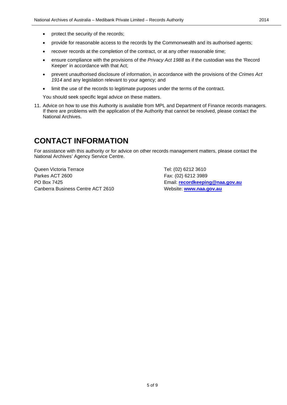- protect the security of the records;
- provide for reasonable access to the records by the Commonwealth and its authorised agents;
- recover records at the completion of the contract, or at any other reasonable time;
- ensure compliance with the provisions of the *Privacy Act 1988* as if the custodian was the 'Record Keeper' in accordance with that Act;
- prevent unauthorised disclosure of information, in accordance with the provisions of the *Crimes Act 1914* and any legislation relevant to your agency; and
- limit the use of the records to legitimate purposes under the terms of the contract.

You should seek specific legal advice on these matters.

11. Advice on how to use this Authority is available from MPL and Department of Finance records managers. If there are problems with the application of the Authority that cannot be resolved, please contact the National Archives.

#### **CONTACT INFORMATION**

For assistance with this authority or for advice on other records management matters, please contact the National Archives' Agency Service Centre.

Queen Victoria Terrace Tel: (02) 6212 3610 Parkes ACT 2600 Fax: (02) 6212 3989 PO Box 7425 Email: **[recordkeeping@naa.gov.au](mailto:recordkeeping@naa.gov.au)** Canberra Business Centre ACT 2610 Website: **[www.naa.gov.au](http://www.naa.gov.au/)**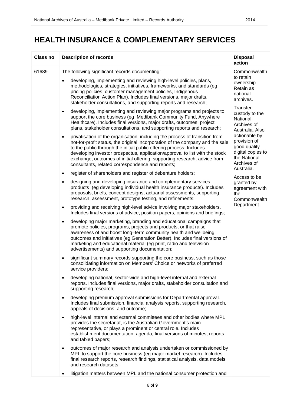| <b>Class no</b> | <b>Description of records</b>                                                                                                                                                                                                                                                                                                                                                                                                                                   | <b>Disposal</b><br>action                                                                                                                                                                                                                                    |
|-----------------|-----------------------------------------------------------------------------------------------------------------------------------------------------------------------------------------------------------------------------------------------------------------------------------------------------------------------------------------------------------------------------------------------------------------------------------------------------------------|--------------------------------------------------------------------------------------------------------------------------------------------------------------------------------------------------------------------------------------------------------------|
| 61689           | The following significant records documenting:                                                                                                                                                                                                                                                                                                                                                                                                                  | Commonwealth                                                                                                                                                                                                                                                 |
|                 | developing, implementing and reviewing high-level policies, plans,<br>methodologies, strategies, initiatives, frameworks, and standards (eg<br>pricing policies, customer management policies, Indigenous<br>Reconciliation Action Plan). Includes final versions, major drafts,<br>stakeholder consultations, and supporting reports and research;                                                                                                             | to retain<br>ownership.<br>Retain as<br>national<br>archives.<br>Transfer<br>custody to the<br>National<br>Archives of<br>Australia. Also<br>actionable by<br>provision of<br>good quality<br>digital copies to<br>the National<br>Archives of<br>Australia. |
|                 | developing, implementing and reviewing major programs and projects to<br>$\bullet$<br>support the core business (eg Medibank Community Fund, Anywhere<br>Healthcare). Includes final versions, major drafts, outcomes, project<br>plans, stakeholder consultations, and supporting reports and research;                                                                                                                                                        |                                                                                                                                                                                                                                                              |
|                 | privatisation of the organisation, including the process of transition from<br>$\bullet$<br>not-for-profit status, the original incorporation of the company and the sale<br>to the public through the initial public offering process. Includes<br>developing investor prospectus, application/approval to list with the stock<br>exchange, outcomes of initial offering, supporting research, advice from<br>consultants, related correspondence and reports; |                                                                                                                                                                                                                                                              |
|                 | register of shareholders and register of debenture holders;<br>$\bullet$                                                                                                                                                                                                                                                                                                                                                                                        | Access to be                                                                                                                                                                                                                                                 |
|                 | designing and developing insurance and complementary services<br>٠<br>products (eg developing individual health insurance products). Includes<br>proposals, briefs, concept designs, actuarial assessments, supporting<br>research, assessment, prototype testing, and refinements;                                                                                                                                                                             | granted by<br>agreement with<br>the<br>Commonwealth<br>Department.                                                                                                                                                                                           |
|                 | providing and receiving high-level advice involving major stakeholders.<br>٠<br>Includes final versions of advice, position papers, opinions and briefings;                                                                                                                                                                                                                                                                                                     |                                                                                                                                                                                                                                                              |
|                 | developing major marketing, branding and educational campaigns that<br>$\bullet$<br>promote policies, programs, projects and products, or that raise<br>awareness of and boost long-term community health and wellbeing<br>outcomes and initiatives (eg Generation Better). Includes final versions of<br>marketing and educational material (eg print, radio and television<br>advertisements) and supporting documentation;                                   |                                                                                                                                                                                                                                                              |
|                 | significant summary records supporting the core business, such as those<br>$\bullet$<br>consolidating information on Members' Choice or networks of preferred<br>service providers;                                                                                                                                                                                                                                                                             |                                                                                                                                                                                                                                                              |
|                 | developing national, sector-wide and high-level internal and external<br>$\bullet$<br>reports. Includes final versions, major drafts, stakeholder consultation and<br>supporting research;                                                                                                                                                                                                                                                                      |                                                                                                                                                                                                                                                              |
|                 | developing premium approval submissions for Departmental approval.<br>$\bullet$<br>Includes final submission, financial analysis reports, supporting research,<br>appeals of decisions, and outcome;                                                                                                                                                                                                                                                            |                                                                                                                                                                                                                                                              |
|                 | high-level internal and external committees and other bodies where MPL<br>$\bullet$<br>provides the secretariat, is the Australian Government's main<br>representative, or plays a prominent or central role. Includes<br>establishment documentation, agenda, final versions of minutes, reports<br>and tabled papers;                                                                                                                                         |                                                                                                                                                                                                                                                              |
|                 | outcomes of major research and analysis undertaken or commissioned by<br>$\bullet$<br>MPL to support the core business (eg major market research). Includes<br>final research reports, research findings, statistical analysis, data models<br>and research datasets;                                                                                                                                                                                           |                                                                                                                                                                                                                                                              |
|                 | litigation matters between MPL and the national consumer protection and<br>$\bullet$                                                                                                                                                                                                                                                                                                                                                                            |                                                                                                                                                                                                                                                              |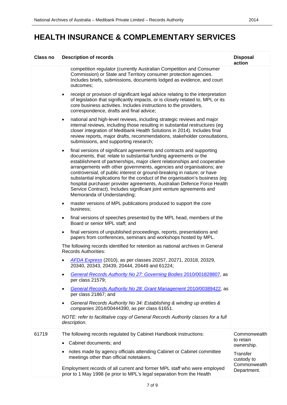| <b>Class no</b> | <b>Description of records</b>                                                                                                                                                                                                                                                                                                                                                                                                                                                                                                                                                                                                                           | <b>Disposal</b><br>action              |
|-----------------|---------------------------------------------------------------------------------------------------------------------------------------------------------------------------------------------------------------------------------------------------------------------------------------------------------------------------------------------------------------------------------------------------------------------------------------------------------------------------------------------------------------------------------------------------------------------------------------------------------------------------------------------------------|----------------------------------------|
|                 | competition regulator (currently Australian Competition and Consumer<br>Commission) or State and Territory consumer protection agencies.<br>Includes briefs, submissions, documents lodged as evidence, and court<br>outcomes;                                                                                                                                                                                                                                                                                                                                                                                                                          |                                        |
|                 | receipt or provision of significant legal advice relating to the interpretation<br>$\bullet$<br>of legislation that significantly impacts, or is closely related to, MPL or its<br>core business activities. Includes instructions to the providers,<br>correspondence, drafts and final advice;                                                                                                                                                                                                                                                                                                                                                        |                                        |
|                 | national and high-level reviews, including strategic reviews and major<br>$\bullet$<br>internal reviews, including those resulting in substantial restructures (eg<br>closer integration of Medibank Health Solutions in 2014). Includes final<br>review reports, major drafts, recommendations, stakeholder consultations,<br>submissions, and supporting research;                                                                                                                                                                                                                                                                                    |                                        |
|                 | final versions of significant agreements and contracts and supporting<br>$\bullet$<br>documents, that: relate to substantial funding agreements or the<br>establishment of partnerships, major client relationships and cooperative<br>arrangements with other governments, agencies and organisations; are<br>controversial, of public interest or ground-breaking in nature; or have<br>substantial implications for the conduct of the organisation's business (eg<br>hospital purchaser provider agreements, Australian Defence Force Health<br>Service Contract). Includes significant joint venture agreements and<br>Memoranda of Understanding; |                                        |
|                 | master versions of MPL publications produced to support the core<br>$\bullet$<br>business;                                                                                                                                                                                                                                                                                                                                                                                                                                                                                                                                                              |                                        |
|                 | final versions of speeches presented by the MPL head, members of the<br>$\bullet$<br>Board or senior MPL staff; and                                                                                                                                                                                                                                                                                                                                                                                                                                                                                                                                     |                                        |
|                 | final versions of unpublished proceedings, reports, presentations and<br>$\bullet$<br>papers from conferences, seminars and workshops hosted by MPL.                                                                                                                                                                                                                                                                                                                                                                                                                                                                                                    |                                        |
|                 | The following records identified for retention as national archives in General<br><b>Records Authorities:</b>                                                                                                                                                                                                                                                                                                                                                                                                                                                                                                                                           |                                        |
|                 | AFDA Express (2010), as per classes 20257, 20271, 20318, 20329,<br>20340, 20343, 20439, 20444, 20449 and 61224;                                                                                                                                                                                                                                                                                                                                                                                                                                                                                                                                         |                                        |
|                 | General Records Authority No 27: Governing Bodies 2010/001828807, as<br>per class 21579;                                                                                                                                                                                                                                                                                                                                                                                                                                                                                                                                                                |                                        |
|                 | General Records Authority No 28: Grant Management 2010/00389422, as<br>per class 21867; and                                                                                                                                                                                                                                                                                                                                                                                                                                                                                                                                                             |                                        |
|                 | General Records Authority No 34: Establishing & winding up entities &<br>$\bullet$<br>companies 2014/00444390, as per class 61651.                                                                                                                                                                                                                                                                                                                                                                                                                                                                                                                      |                                        |
|                 | NOTE: refer to facilitative copy of General Records Authority classes for a full<br>description.                                                                                                                                                                                                                                                                                                                                                                                                                                                                                                                                                        |                                        |
| 61719           | The following records regulated by Cabinet Handbook instructions:                                                                                                                                                                                                                                                                                                                                                                                                                                                                                                                                                                                       | Commonwealth<br>to retain              |
|                 | Cabinet documents; and                                                                                                                                                                                                                                                                                                                                                                                                                                                                                                                                                                                                                                  | ownership.                             |
|                 | notes made by agency officials attending Cabinet or Cabinet committee<br>meetings other than official notetakers.                                                                                                                                                                                                                                                                                                                                                                                                                                                                                                                                       | Transfer<br>custody to<br>Commonwealth |
|                 | Employment records of all current and former MPL staff who were employed<br>prior to 1 May 1998 (ie prior to MPL's legal separation from the Health                                                                                                                                                                                                                                                                                                                                                                                                                                                                                                     | Department.                            |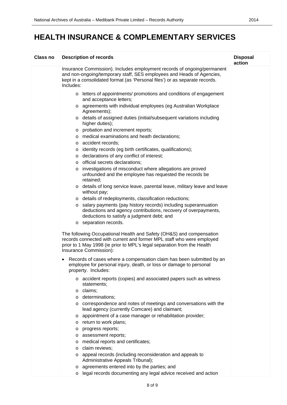| Class no | <b>Description of records</b>                                                                                                                                                                                                                      | <b>Disposal</b><br>action |
|----------|----------------------------------------------------------------------------------------------------------------------------------------------------------------------------------------------------------------------------------------------------|---------------------------|
|          | Insurance Commission). Includes employment records of ongoing/permanent<br>and non-ongoing/temporary staff, SES employees and Heads of Agencies,<br>kept in a consolidated format (as 'Personal files') or as separate records.<br>Includes:       |                           |
|          | o letters of appointments/ promotions and conditions of engagement<br>and acceptance letters;                                                                                                                                                      |                           |
|          | o agreements with individual employees (eg Australian Workplace<br>Agreements);                                                                                                                                                                    |                           |
|          | o details of assigned duties (initial/subsequent variations including<br>higher duties);                                                                                                                                                           |                           |
|          | o probation and increment reports;                                                                                                                                                                                                                 |                           |
|          | o medical examinations and heath declarations;                                                                                                                                                                                                     |                           |
|          | o accident records;                                                                                                                                                                                                                                |                           |
|          | identity records (eg birth certificates, qualifications);<br>O                                                                                                                                                                                     |                           |
|          | o declarations of any conflict of interest;                                                                                                                                                                                                        |                           |
|          | official secrets declarations;<br>$\circ$                                                                                                                                                                                                          |                           |
|          | investigations of misconduct where allegations are proved<br>O<br>unfounded and the employee has requested the records be<br>retained;                                                                                                             |                           |
|          | o details of long service leave, parental leave, military leave and leave<br>without pay;                                                                                                                                                          |                           |
|          | o details of redeployments, classification reductions;                                                                                                                                                                                             |                           |
|          | o salary payments (pay history records) including superannuation<br>deductions and agency contributions, recovery of overpayments,<br>deductions to satisfy a judgment debt; and                                                                   |                           |
|          | o separation records.                                                                                                                                                                                                                              |                           |
|          | The following Occupational Health and Safety (OH&S) and compensation<br>records connected with current and former MPL staff who were employed<br>prior to 1 May 1998 (ie prior to MPL's legal separation from the Health<br>Insurance Commission): |                           |
|          | Records of cases where a compensation claim has been submitted by an<br>employee for personal injury, death, or loss or damage to personal<br>property. Includes:                                                                                  |                           |
|          | o accident reports (copies) and associated papers such as witness<br>statements:                                                                                                                                                                   |                           |
|          | $\circ$ claims;                                                                                                                                                                                                                                    |                           |
|          | determinations;<br>$\circ$                                                                                                                                                                                                                         |                           |
|          | o correspondence and notes of meetings and conversations with the<br>lead agency (currently Comcare) and claimant;                                                                                                                                 |                           |
|          | appointment of a case manager or rehabilitation provider;<br>$\circ$                                                                                                                                                                               |                           |
|          | return to work plans;<br>$\circ$                                                                                                                                                                                                                   |                           |
|          | progress reports;<br>O                                                                                                                                                                                                                             |                           |
|          | assessment reports;<br>O                                                                                                                                                                                                                           |                           |
|          | medical reports and certificates;<br>O                                                                                                                                                                                                             |                           |
|          | claim reviews;<br>$\circ$                                                                                                                                                                                                                          |                           |
|          | appeal records (including reconsideration and appeals to<br>$\circ$<br>Administrative Appeals Tribunal);                                                                                                                                           |                           |
|          | o agreements entered into by the parties; and                                                                                                                                                                                                      |                           |
|          | legal records documenting any legal advice received and action<br>O                                                                                                                                                                                |                           |